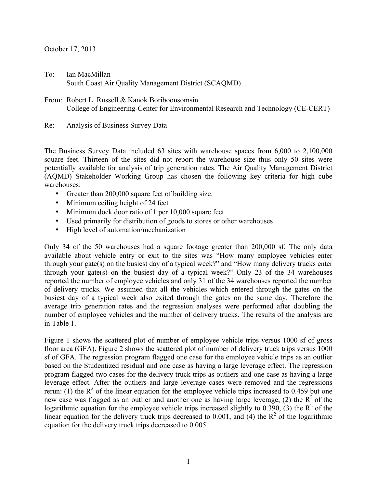## October 17, 2013

- To: Ian MacMillan South Coast Air Quality Management District (SCAQMD)
- From: Robert L. Russell & Kanok Boriboonsomsin College of Engineering-Center for Environmental Research and Technology (CE-CERT)
- Re: Analysis of Business Survey Data

The Business Survey Data included 63 sites with warehouse spaces from 6,000 to 2,100,000 square feet. Thirteen of the sites did not report the warehouse size thus only 50 sites were potentially available for analysis of trip generation rates. The Air Quality Management District (AQMD) Stakeholder Working Group has chosen the following key criteria for high cube warehouses:

- Greater than 200,000 square feet of building size.
- Minimum ceiling height of 24 feet
- Minimum dock door ratio of 1 per 10,000 square feet
- Used primarily for distribution of goods to stores or other warehouses
- High level of automation/mechanization

Only 34 of the 50 warehouses had a square footage greater than 200,000 sf. The only data available about vehicle entry or exit to the sites was "How many employee vehicles enter through your gate(s) on the busiest day of a typical week?" and "How many delivery trucks enter through your gate(s) on the busiest day of a typical week?" Only 23 of the 34 warehouses reported the number of employee vehicles and only 31 of the 34 warehouses reported the number of delivery trucks. We assumed that all the vehicles which entered through the gates on the busiest day of a typical week also exited through the gates on the same day. Therefore the average trip generation rates and the regression analyses were performed after doubling the number of employee vehicles and the number of delivery trucks. The results of the analysis are in Table 1.

Figure 1 shows the scattered plot of number of employee vehicle trips versus 1000 sf of gross floor area (GFA). Figure 2 shows the scattered plot of number of delivery truck trips versus 1000 sf of GFA. The regression program flagged one case for the employee vehicle trips as an outlier based on the Studentized residual and one case as having a large leverage effect. The regression program flagged two cases for the delivery truck trips as outliers and one case as having a large leverage effect. After the outliers and large leverage cases were removed and the regressions rerun: (1) the  $R^2$  of the linear equation for the employee vehicle trips increased to 0.459 but one new case was flagged as an outlier and another one as having large leverage, (2) the  $R^2$  of the logarithmic equation for the employee vehicle trips increased slightly to 0.390, (3) the  $R^2$  of the linear equation for the delivery truck trips decreased to 0.001, and (4) the  $R^2$  of the logarithmic equation for the delivery truck trips decreased to 0.005.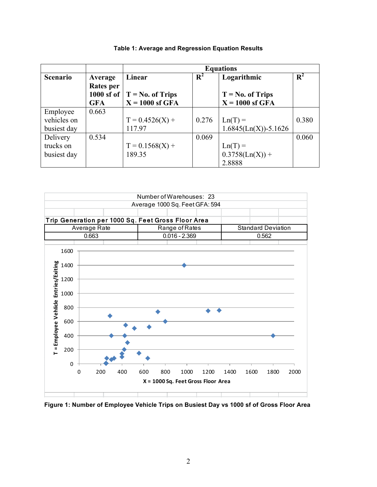|                 |                      | <b>Equations</b>                                      |                |                          |                |  |
|-----------------|----------------------|-------------------------------------------------------|----------------|--------------------------|----------------|--|
| <b>Scenario</b> | Average<br>Rates per | Linear                                                | $\mathbf{R}^2$ | Logarithmic              | $\mathbf{R}^2$ |  |
|                 |                      | 1000 sf of $ T = No$ . of Trips<br>$T = No. of Trips$ |                |                          |                |  |
|                 | <b>GFA</b>           | $X = 1000$ sf GFA                                     |                | $X = 1000$ sf GFA        |                |  |
| Employee        | 0.663                |                                                       |                |                          |                |  |
| vehicles on     |                      | $T = 0.4526(X) +$                                     | 0.276          | $Ln(T) =$                | 0.380          |  |
| busiest day     |                      | 117.97                                                |                | $1.6845(Ln(X)) - 5.1626$ |                |  |
| Delivery        | 0.534                |                                                       | 0.069          |                          | 0.060          |  |
| trucks on       |                      | $T = 0.1568(X) +$                                     |                | $Ln(T) =$                |                |  |
| busiest day     |                      | 189.35                                                |                | $0.3758(Ln(X)) +$        |                |  |
|                 |                      |                                                       |                | 2.8888                   |                |  |

## **Table 1: Average and Regression Equation Results**



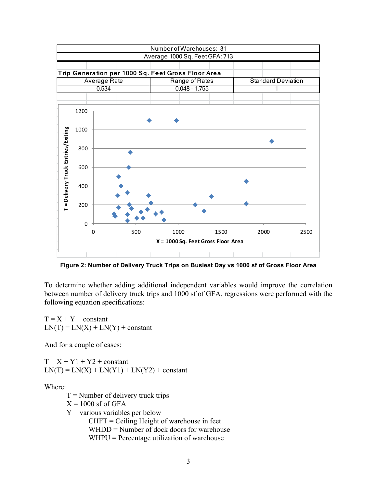

**Figure 2: Number of Delivery Truck Trips on Busiest Day vs 1000 sf of Gross Floor Area**

To determine whether adding additional independent variables would improve the correlation between number of delivery truck trips and 1000 sf of GFA, regressions were performed with the following equation specifications:

 $T = X + Y + constant$  $LN(T) = LN(X) + LN(Y) + constant$ 

And for a couple of cases:

 $T = X + Y1 + Y2 + constant$  $LN(T) = LN(X) + LN(Y1) + LN(Y2) + constant$ 

Where:

 $T =$  Number of delivery truck trips

 $X = 1000$  sf of GFA

 $Y = \text{various variables per below}$ 

 $CHFT = Ceiling Height of warehouse in feet$ 

WHDD = Number of dock doors for warehouse

WHPU = Percentage utilization of warehouse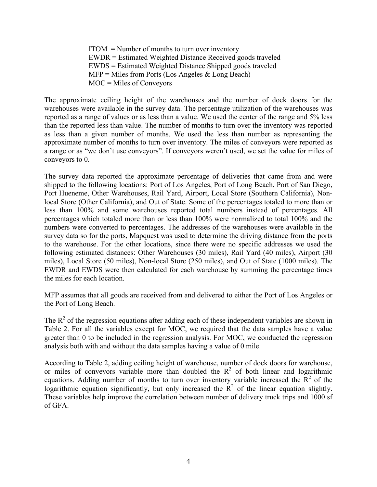ITOM = Number of months to turn over inventory EWDR = Estimated Weighted Distance Received goods traveled EWDS = Estimated Weighted Distance Shipped goods traveled  $MFP =$  Miles from Ports (Los Angeles & Long Beach) MOC = Miles of Conveyors

The approximate ceiling height of the warehouses and the number of dock doors for the warehouses were available in the survey data. The percentage utilization of the warehouses was reported as a range of values or as less than a value. We used the center of the range and 5% less than the reported less than value. The number of months to turn over the inventory was reported as less than a given number of months. We used the less than number as representing the approximate number of months to turn over inventory. The miles of conveyors were reported as a range or as "we don't use conveyors". If conveyors weren't used, we set the value for miles of conveyors to 0.

The survey data reported the approximate percentage of deliveries that came from and were shipped to the following locations: Port of Los Angeles, Port of Long Beach, Port of San Diego, Port Hueneme, Other Warehouses, Rail Yard, Airport, Local Store (Southern California), Nonlocal Store (Other California), and Out of State. Some of the percentages totaled to more than or less than 100% and some warehouses reported total numbers instead of percentages. All percentages which totaled more than or less than 100% were normalized to total 100% and the numbers were converted to percentages. The addresses of the warehouses were available in the survey data so for the ports, Mapquest was used to determine the driving distance from the ports to the warehouse. For the other locations, since there were no specific addresses we used the following estimated distances: Other Warehouses (30 miles), Rail Yard (40 miles), Airport (30 miles), Local Store (50 miles), Non-local Store (250 miles), and Out of State (1000 miles). The EWDR and EWDS were then calculated for each warehouse by summing the percentage times the miles for each location.

MFP assumes that all goods are received from and delivered to either the Port of Los Angeles or the Port of Long Beach.

The  $R<sup>2</sup>$  of the regression equations after adding each of these independent variables are shown in Table 2. For all the variables except for MOC, we required that the data samples have a value greater than 0 to be included in the regression analysis. For MOC, we conducted the regression analysis both with and without the data samples having a value of 0 mile.

According to Table 2, adding ceiling height of warehouse, number of dock doors for warehouse, or miles of conveyors variable more than doubled the  $R^2$  of both linear and logarithmic equations. Adding number of months to turn over inventory variable increased the  $\overline{R}^2$  of the logarithmic equation significantly, but only increased the  $R^2$  of the linear equation slightly. These variables help improve the correlation between number of delivery truck trips and 1000 sf of GFA.